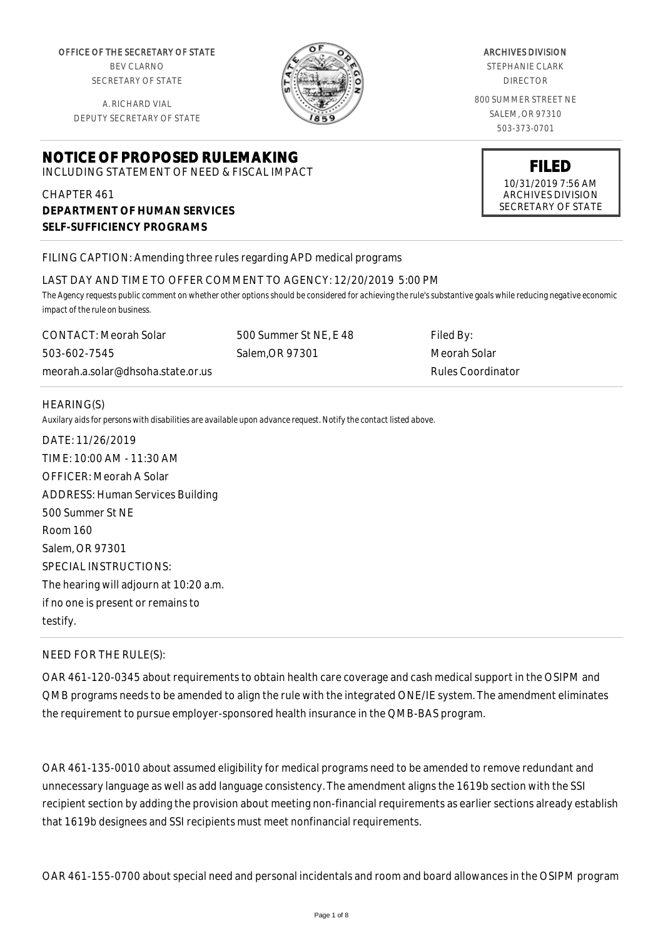OFFICE OF THE SECRETARY OF STATE BEV CLARNO

SECRETARY OF STATE

A. RICHARD VIAL DEPUTY SECRETARY OF STATE

# **NOTICE OF PROPOSED RULEMAKING**

INCLUDING STATEMENT OF NEED & FISCAL IMPACT

# CHAPTER 461 **DEPARTMENT OF HUMAN SERVICES SELF-SUFFICIENCY PROGRAMS**

## FILING CAPTION: Amending three rules regarding APD medical programs

#### LAST DAY AND TIME TO OFFER COMMENT TO AGENCY: 12/20/2019 5:00 PM

*The Agency requests public comment on whether other options should be considered for achieving the rule's substantive goals while reducing negative economic impact of the rule on business.*

CONTACT: Meorah Solar 503-602-7545 meorah.a.solar@dhsoha.state.or.us 500 Summer St NE, E 48 Salem,OR 97301

Filed By: Meorah Solar Rules Coordinator

#### HEARING(S)

*Auxilary aids for persons with disabilities are available upon advance request. Notify the contact listed above.*

DATE: 11/26/2019 TIME: 10:00 AM - 11:30 AM OFFICER: Meorah A Solar ADDRESS: Human Services Building 500 Summer St NE Room 160 Salem, OR 97301 SPECIAL INSTRUCTIONS: The hearing will adjourn at 10:20 a.m. if no one is present or remains to testify.

## NEED FOR THE RULE(S):

OAR 461-120-0345 about requirements to obtain health care coverage and cash medical support in the OSIPM and QMB programs needs to be amended to align the rule with the integrated ONE/IE system. The amendment eliminates the requirement to pursue employer-sponsored health insurance in the QMB-BAS program.

OAR 461-135-0010 about assumed eligibility for medical programs need to be amended to remove redundant and unnecessary language as well as add language consistency. The amendment aligns the 1619b section with the SSI recipient section by adding the provision about meeting non-financial requirements as earlier sections already establish that 1619b designees and SSI recipients must meet nonfinancial requirements.

OAR 461-155-0700 about special need and personal incidentals and room and board allowances in the OSIPM program



STEPHANIE CLARK DIRECTOR

800 SUMMER STREET NE SALEM, OR 97310 503-373-0701

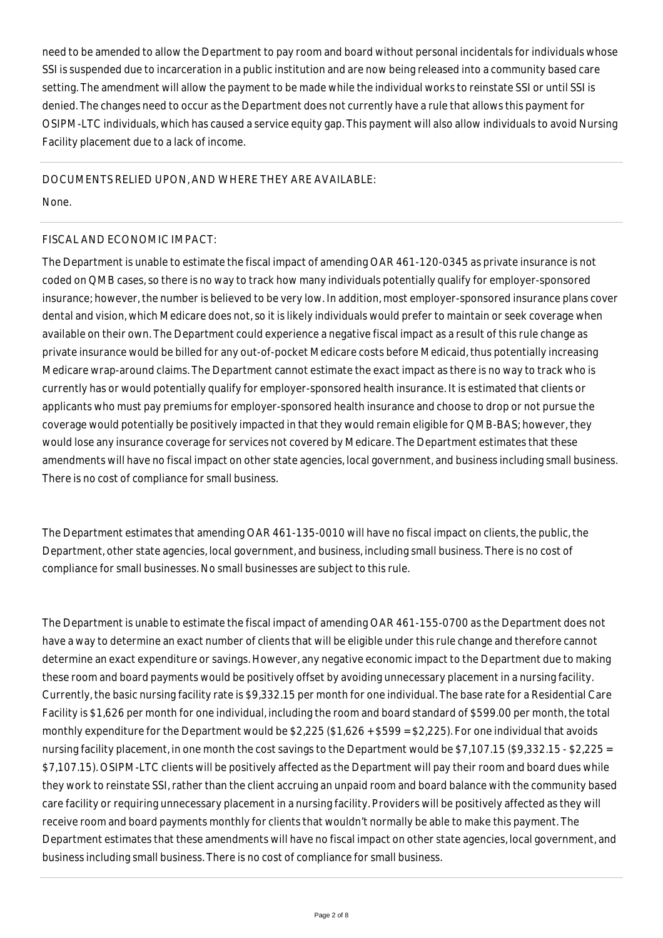need to be amended to allow the Department to pay room and board without personal incidentals for individuals whose SSI is suspended due to incarceration in a public institution and are now being released into a community based care setting. The amendment will allow the payment to be made while the individual works to reinstate SSI or until SSI is denied. The changes need to occur as the Department does not currently have a rule that allows this payment for OSIPM-LTC individuals, which has caused a service equity gap. This payment will also allow individuals to avoid Nursing Facility placement due to a lack of income.

DOCUMENTS RELIED UPON, AND WHERE THEY ARE AVAILABLE:

None.

## FISCAL AND ECONOMIC IMPACT:

The Department is unable to estimate the fiscal impact of amending OAR 461-120-0345 as private insurance is not coded on QMB cases, so there is no way to track how many individuals potentially qualify for employer-sponsored insurance; however, the number is believed to be very low. In addition, most employer-sponsored insurance plans cover dental and vision, which Medicare does not, so it is likely individuals would prefer to maintain or seek coverage when available on their own. The Department could experience a negative fiscal impact as a result of this rule change as private insurance would be billed for any out-of-pocket Medicare costs before Medicaid, thus potentially increasing Medicare wrap-around claims. The Department cannot estimate the exact impact as there is no way to track who is currently has or would potentially qualify for employer-sponsored health insurance. It is estimated that clients or applicants who must pay premiums for employer-sponsored health insurance and choose to drop or not pursue the coverage would potentially be positively impacted in that they would remain eligible for QMB-BAS; however, they would lose any insurance coverage for services not covered by Medicare. The Department estimates that these amendments will have no fiscal impact on other state agencies, local government, and business including small business. There is no cost of compliance for small business.

The Department estimates that amending OAR 461-135-0010 will have no fiscal impact on clients, the public, the Department, other state agencies, local government, and business, including small business. There is no cost of compliance for small businesses. No small businesses are subject to this rule.

The Department is unable to estimate the fiscal impact of amending OAR 461-155-0700 as the Department does not have a way to determine an exact number of clients that will be eligible under this rule change and therefore cannot determine an exact expenditure or savings. However, any negative economic impact to the Department due to making these room and board payments would be positively offset by avoiding unnecessary placement in a nursing facility. Currently, the basic nursing facility rate is \$9,332.15 per month for one individual. The base rate for a Residential Care Facility is \$1,626 per month for one individual, including the room and board standard of \$599.00 per month, the total monthly expenditure for the Department would be \$2,225 (\$1,626 + \$599 = \$2,225). For one individual that avoids nursing facility placement, in one month the cost savings to the Department would be \$7,107.15 (\$9,332.15 - \$2,225 = \$7,107.15). OSIPM-LTC clients will be positively affected as the Department will pay their room and board dues while they work to reinstate SSI, rather than the client accruing an unpaid room and board balance with the community based care facility or requiring unnecessary placement in a nursing facility. Providers will be positively affected as they will receive room and board payments monthly for clients that wouldn't normally be able to make this payment. The Department estimates that these amendments will have no fiscal impact on other state agencies, local government, and business including small business. There is no cost of compliance for small business.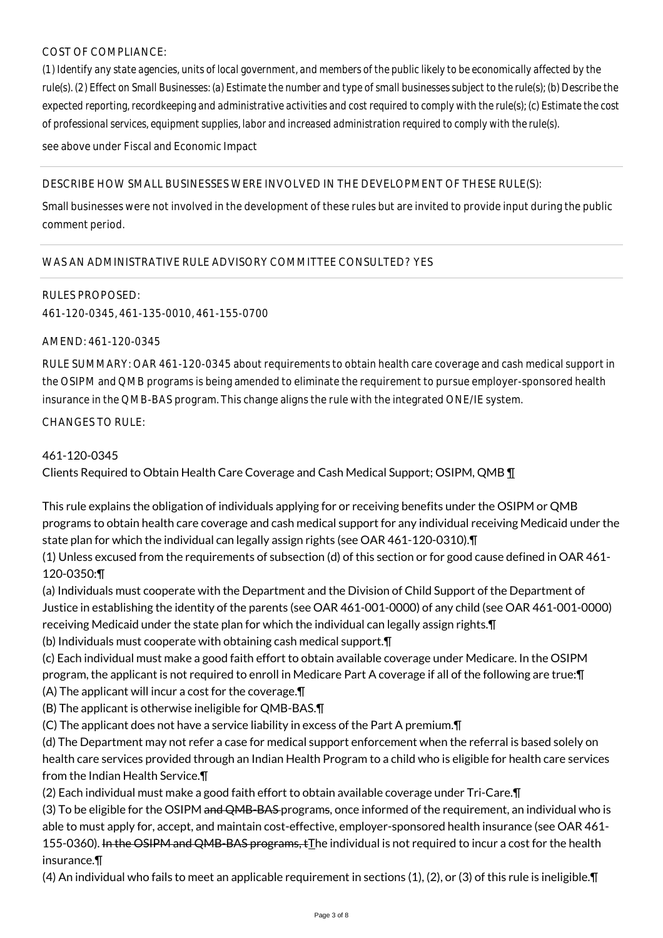# COST OF COMPLIANCE:

*(1) Identify any state agencies, units of local government, and members of the public likely to be economically affected by the rule(s). (2) Effect on Small Businesses: (a) Estimate the number and type of small businesses subject to the rule(s); (b) Describe the expected reporting, recordkeeping and administrative activities and cost required to comply with the rule(s); (c) Estimate the cost of professional services, equipment supplies, labor and increased administration required to comply with the rule(s).*

see above under Fiscal and Economic Impact

## DESCRIBE HOW SMALL BUSINESSES WERE INVOLVED IN THE DEVELOPMENT OF THESE RULE(S):

Small businesses were not involved in the development of these rules but are invited to provide input during the public comment period.

## WAS AN ADMINISTRATIVE RULE ADVISORY COMMITTEE CONSULTED? YES

#### RULES PROPOSED:

461-120-0345, 461-135-0010, 461-155-0700

#### AMEND: 461-120-0345

RULE SUMMARY: OAR 461-120-0345 about requirements to obtain health care coverage and cash medical support in the OSIPM and QMB programs is being amended to eliminate the requirement to pursue employer-sponsored health insurance in the QMB-BAS program. This change aligns the rule with the integrated ONE/IE system.

CHANGES TO RULE:

## 461-120-0345

Clients Required to Obtain Health Care Coverage and Cash Medical Support; OSIPM, QMB ¶

This rule explains the obligation of individuals applying for or receiving benefits under the OSIPM or QMB programs to obtain health care coverage and cash medical support for any individual receiving Medicaid under the state plan for which the individual can legally assign rights (see OAR 461-120-0310).¶

(1) Unless excused from the requirements of subsection (d) of this section or for good cause defined in OAR 461- 120-0350:¶

(a) Individuals must cooperate with the Department and the Division of Child Support of the Department of Justice in establishing the identity of the parents (see OAR 461-001-0000) of any child (see OAR 461-001-0000) receiving Medicaid under the state plan for which the individual can legally assign rights.¶

(b) Individuals must cooperate with obtaining cash medical support.¶

(c) Each individual must make a good faith effort to obtain available coverage under Medicare. In the OSIPM program, the applicant is not required to enroll in Medicare Part A coverage if all of the following are true:¶

(A) The applicant will incur a cost for the coverage.¶

(B) The applicant is otherwise ineligible for QMB-BAS.¶

(C) The applicant does not have a service liability in excess of the Part A premium.¶

(d) The Department may not refer a case for medical support enforcement when the referral is based solely on health care services provided through an Indian Health Program to a child who is eligible for health care services from the Indian Health Service.¶

(2) Each individual must make a good faith effort to obtain available coverage under Tri-Care.¶

(3) To be eligible for the OSIPM and QMB-BAS programs, once informed of the requirement, an individual who is able to must apply for, accept, and maintain cost-effective, employer-sponsored health insurance (see OAR 461- 155-0360). In the OSIPM and QMB-BAS programs,  $tI$ he individual is not required to incur a cost for the health insurance.¶

(4) An individual who fails to meet an applicable requirement in sections (1), (2), or (3) of this rule is ineligible.¶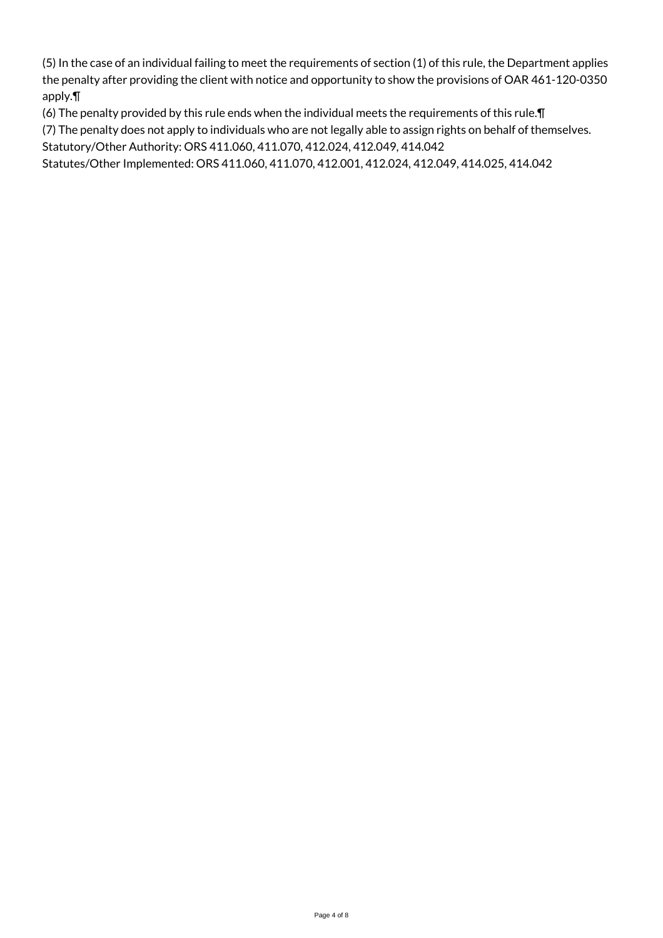(5) In the case of an individual failing to meet the requirements of section (1) of this rule, the Department applies the penalty after providing the client with notice and opportunity to show the provisions of OAR 461-120-0350 apply.¶

(6) The penalty provided by this rule ends when the individual meets the requirements of this rule.¶

(7) The penalty does not apply to individuals who are not legally able to assign rights on behalf of themselves.

Statutory/Other Authority: ORS 411.060, 411.070, 412.024, 412.049, 414.042

Statutes/Other Implemented: ORS 411.060, 411.070, 412.001, 412.024, 412.049, 414.025, 414.042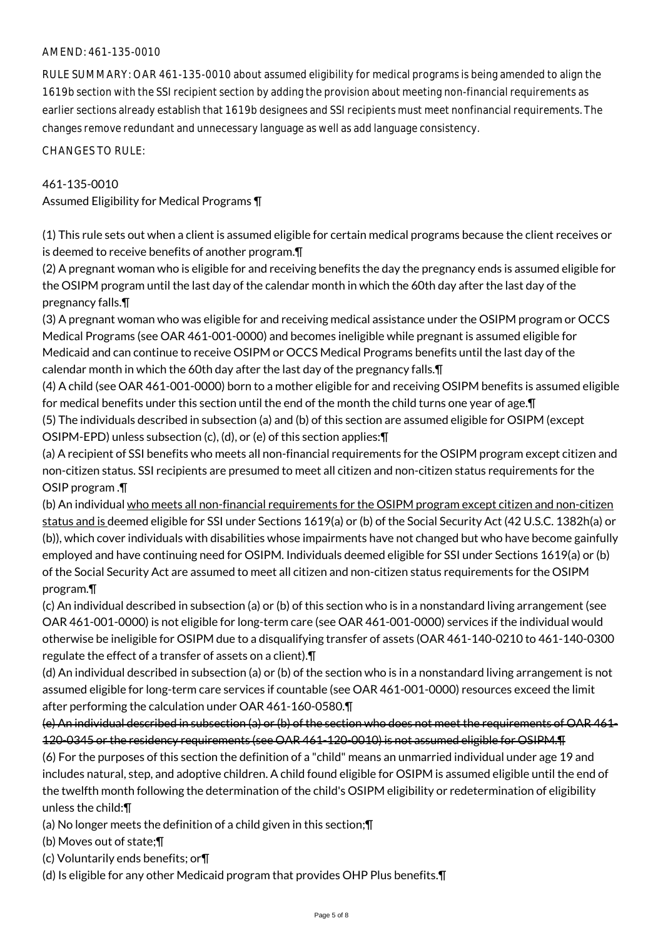## AMEND: 461-135-0010

RULE SUMMARY: OAR 461-135-0010 about assumed eligibility for medical programs is being amended to align the 1619b section with the SSI recipient section by adding the provision about meeting non-financial requirements as earlier sections already establish that 1619b designees and SSI recipients must meet nonfinancial requirements. The changes remove redundant and unnecessary language as well as add language consistency.

CHANGES TO RULE:

#### 461-135-0010

Assumed Eligibility for Medical Programs ¶

(1) This rule sets out when a client is assumed eligible for certain medical programs because the client receives or is deemed to receive benefits of another program.¶

(2) A pregnant woman who is eligible for and receiving benefits the day the pregnancy ends is assumed eligible for the OSIPM program until the last day of the calendar month in which the 60th day after the last day of the pregnancy falls.¶

(3) A pregnant woman who was eligible for and receiving medical assistance under the OSIPM program or OCCS Medical Programs (see OAR 461-001-0000) and becomes ineligible while pregnant is assumed eligible for Medicaid and can continue to receive OSIPM or OCCS Medical Programs benefits until the last day of the calendar month in which the 60th day after the last day of the pregnancy falls.¶

(4) A child (see OAR 461-001-0000) born to a mother eligible for and receiving OSIPM benefits is assumed eligible for medical benefits under this section until the end of the month the child turns one year of age.¶

(5) The individuals described in subsection (a) and (b) of this section are assumed eligible for OSIPM (except OSIPM-EPD) unless subsection (c), (d), or (e) of this section applies:¶

(a) A recipient of SSI benefits who meets all non-financial requirements for the OSIPM program except citizen and non-citizen status. SSI recipients are presumed to meet all citizen and non-citizen status requirements for the OSIP program .¶

(b) An individual who meets all non-financial requirements for the OSIPM program except citizen and non-citizen status and is deemed eligible for SSI under Sections 1619(a) or (b) of the Social Security Act (42 U.S.C. 1382h(a) or (b)), which cover individuals with disabilities whose impairments have not changed but who have become gainfully employed and have continuing need for OSIPM. Individuals deemed eligible for SSI under Sections 1619(a) or (b) of the Social Security Act are assumed to meet all citizen and non-citizen status requirements for the OSIPM program.¶

(c) An individual described in subsection (a) or (b) of this section who is in a nonstandard living arrangement (see OAR 461-001-0000) is not eligible for long-term care (see OAR 461-001-0000) services if the individual would otherwise be ineligible for OSIPM due to a disqualifying transfer of assets (OAR 461-140-0210 to 461-140-0300 regulate the effect of a transfer of assets on a client).¶

(d) An individual described in subsection (a) or (b) of the section who is in a nonstandard living arrangement is not assumed eligible for long-term care services if countable (see OAR 461-001-0000) resources exceed the limit after performing the calculation under OAR 461-160-0580.¶

(e) An individual described in subsection (a) or (b) of the section who does not meet the requirements of OAR 461- 120-0345 or the residency requirements (see OAR 461-120-0010) is not assumed eligible for OSIPM.¶ (6) For the purposes of this section the definition of a "child" means an unmarried individual under age 19 and includes natural, step, and adoptive children. A child found eligible for OSIPM is assumed eligible until the end of the twelfth month following the determination of the child's OSIPM eligibility or redetermination of eligibility unless the child:¶

(a) No longer meets the definition of a child given in this section;¶

(b) Moves out of state;¶

(c) Voluntarily ends benefits; or¶

(d) Is eligible for any other Medicaid program that provides OHP Plus benefits.¶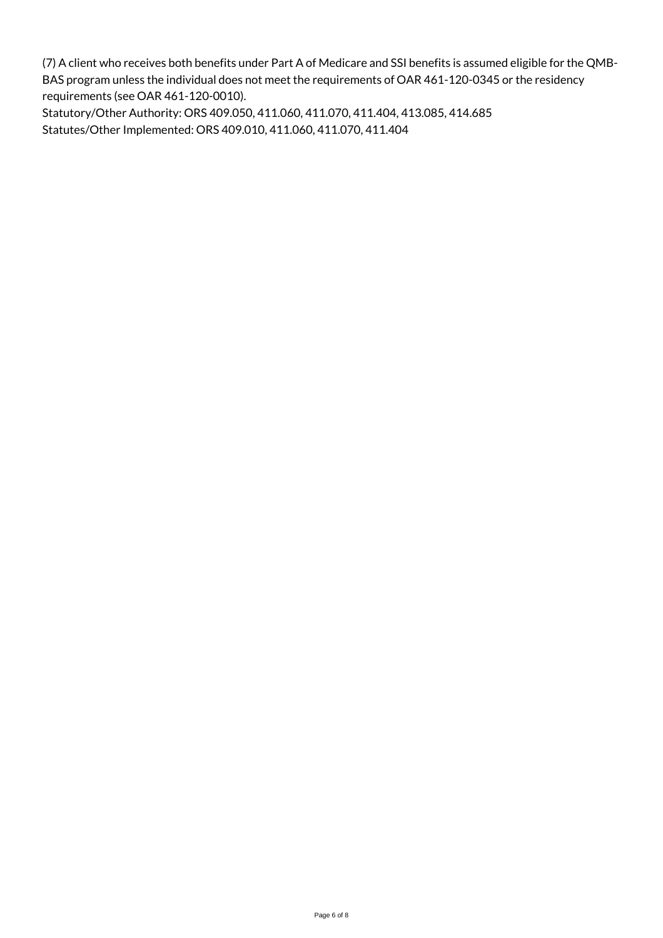(7) A client who receives both benefits under Part A of Medicare and SSI benefits is assumed eligible for the QMB-BAS program unless the individual does not meet the requirements of OAR 461-120-0345 or the residency requirements (see OAR 461-120-0010).

Statutory/Other Authority: ORS 409.050, 411.060, 411.070, 411.404, 413.085, 414.685 Statutes/Other Implemented: ORS 409.010, 411.060, 411.070, 411.404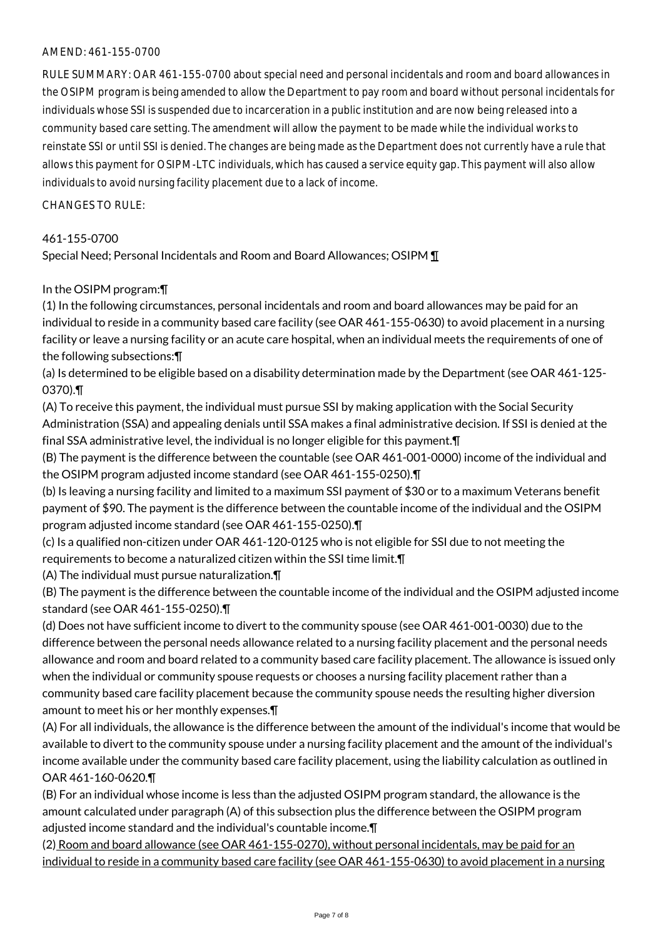## AMEND: 461-155-0700

RULE SUMMARY: OAR 461-155-0700 about special need and personal incidentals and room and board allowances in the OSIPM program is being amended to allow the Department to pay room and board without personal incidentals for individuals whose SSI is suspended due to incarceration in a public institution and are now being released into a community based care setting. The amendment will allow the payment to be made while the individual works to reinstate SSI or until SSI is denied. The changes are being made as the Department does not currently have a rule that allows this payment for OSIPM-LTC individuals, which has caused a service equity gap. This payment will also allow individuals to avoid nursing facility placement due to a lack of income.

 $CHANGFS TO RIIF$ 

#### 461-155-0700

Special Need; Personal Incidentals and Room and Board Allowances; OSIPM ¶

#### In the OSIPM program:¶

(1) In the following circumstances, personal incidentals and room and board allowances may be paid for an individual to reside in a community based care facility (see OAR 461-155-0630) to avoid placement in a nursing facility or leave a nursing facility or an acute care hospital, when an individual meets the requirements of one of the following subsections:¶

(a) Is determined to be eligible based on a disability determination made by the Department (see OAR 461-125- 0370).¶

(A) To receive this payment, the individual must pursue SSI by making application with the Social Security Administration (SSA) and appealing denials until SSA makes a final administrative decision. If SSI is denied at the final SSA administrative level, the individual is no longer eligible for this payment.¶

(B) The payment is the difference between the countable (see OAR 461-001-0000) income of the individual and the OSIPM program adjusted income standard (see OAR 461-155-0250).¶

(b) Is leaving a nursing facility and limited to a maximum SSI payment of \$30 or to a maximum Veterans benefit payment of \$90. The payment is the difference between the countable income of the individual and the OSIPM program adjusted income standard (see OAR 461-155-0250).¶

(c) Is a qualified non-citizen under OAR 461-120-0125 who is not eligible for SSI due to not meeting the requirements to become a naturalized citizen within the SSI time limit.¶

(A) The individual must pursue naturalization.¶

(B) The payment is the difference between the countable income of the individual and the OSIPM adjusted income standard (see OAR 461-155-0250).¶

(d) Does not have sufficient income to divert to the community spouse (see OAR 461-001-0030) due to the difference between the personal needs allowance related to a nursing facility placement and the personal needs allowance and room and board related to a community based care facility placement. The allowance is issued only when the individual or community spouse requests or chooses a nursing facility placement rather than a community based care facility placement because the community spouse needs the resulting higher diversion amount to meet his or her monthly expenses.¶

(A) For all individuals, the allowance is the difference between the amount of the individual's income that would be available to divert to the community spouse under a nursing facility placement and the amount of the individual's income available under the community based care facility placement, using the liability calculation as outlined in OAR 461-160-0620.¶

(B) For an individual whose income is less than the adjusted OSIPM program standard, the allowance is the amount calculated under paragraph (A) of this subsection plus the difference between the OSIPM program adjusted income standard and the individual's countable income.¶

(2) Room and board allowance (see OAR 461-155-0270), without personal incidentals, may be paid for an individual to reside in a community based care facility (see OAR 461-155-0630) to avoid placement in a nursing